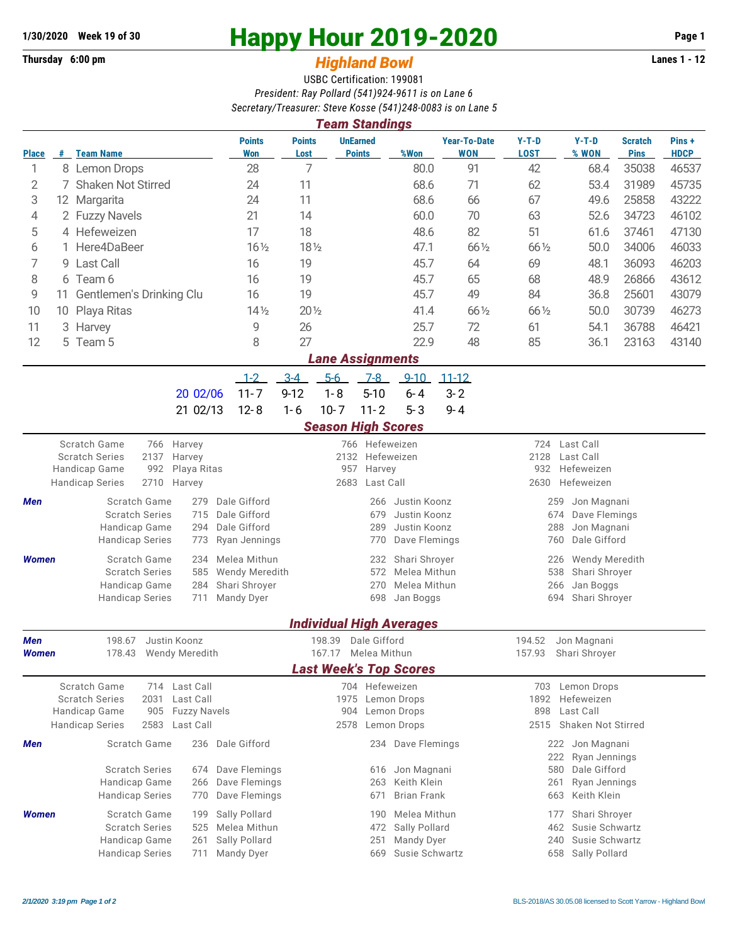## **1/30/2020** Week 19 of 30<br>
Thursday 6:00 pm<br> **Happy Hour 2019-2020** Page 1<br> **Highland Rowl**

## **Thursday 6:00 pm** *Highland Bowl*

USBC Certification: 199081 *President: Ray Pollard (541)924-9611 is on Lane 6 Secretary/Treasurer: Steve Kosse (541)248-0083 is on Lane 5 Team Standings*

| <i><b>Team Standings</b></i>                                     |                                      |                                         |                                     |                                |                       |          |                                  |                                                               |                                            |                        |                                          |                               |                      |  |  |
|------------------------------------------------------------------|--------------------------------------|-----------------------------------------|-------------------------------------|--------------------------------|-----------------------|----------|----------------------------------|---------------------------------------------------------------|--------------------------------------------|------------------------|------------------------------------------|-------------------------------|----------------------|--|--|
| <b>Place</b>                                                     |                                      | # Team Name                             |                                     | <b>Points</b><br>Won           | <b>Points</b><br>Lost |          | <b>UnEarned</b><br><b>Points</b> | %Won                                                          | <b>Year-To-Date</b><br>WON                 | $Y-T-D$<br><b>LOST</b> | $Y-T-D$<br>% WON                         | <b>Scratch</b><br><b>Pins</b> | Pins+<br><b>HDCP</b> |  |  |
| 1                                                                |                                      | 8 Lemon Drops                           |                                     | 28                             | 7                     |          |                                  | 80.0                                                          | 91                                         | 42                     | 68.4                                     | 35038                         | 46537                |  |  |
| 2                                                                | $\sqrt{2}$                           | <b>Shaken Not Stirred</b>               |                                     | 24                             | 11                    |          |                                  | 68.6                                                          | 71                                         | 62                     | 53.4                                     | 31989                         | 45735                |  |  |
| 3                                                                |                                      | 12 Margarita                            |                                     | 24                             | 11                    |          |                                  | 68.6                                                          | 66                                         | 67                     | 49.6                                     | 25858                         | 43222                |  |  |
| 4                                                                |                                      | 2 Fuzzy Navels                          |                                     | 21                             | 14                    |          |                                  | 60.0                                                          | 70                                         | 63                     | 52.6                                     | 34723                         | 46102                |  |  |
| 5                                                                |                                      | 4 Hefeweizen                            |                                     | 17                             | 18                    |          |                                  | 48.6                                                          | 82                                         | 51                     | 61.6                                     | 37461                         | 47130                |  |  |
| 6                                                                |                                      | 1 Here4DaBeer                           |                                     | $16\frac{1}{2}$                | $18\frac{1}{2}$       |          |                                  | 47.1                                                          | 66 1/2                                     | 66 1/2                 | 50.0                                     | 34006                         | 46033                |  |  |
| 7                                                                |                                      | 9 Last Call                             |                                     | 16                             | 19                    |          |                                  | 45.7                                                          | 64                                         | 69                     | 48.1                                     | 36093                         | 46203                |  |  |
|                                                                  |                                      |                                         |                                     | 16                             | 19                    |          |                                  | 45.7                                                          | 65                                         | 68                     | 48.9                                     | 26866                         | 43612                |  |  |
|                                                                  | 8<br>6 Team 6                        |                                         |                                     |                                | 19                    |          |                                  | 45.7                                                          | 49                                         | 84                     | 36.8                                     | 25601                         | 43079                |  |  |
|                                                                  | 9<br>Gentlemen's Drinking Clu<br>11. |                                         |                                     |                                |                       |          |                                  |                                                               |                                            |                        |                                          |                               |                      |  |  |
| 10                                                               |                                      | 10 Playa Ritas                          |                                     | $14\frac{1}{2}$                | $20\frac{1}{2}$       |          |                                  | 41.4                                                          | 66 1/2                                     | 66 1/2                 | 50.0                                     | 30739                         | 46273                |  |  |
| 11                                                               | 3                                    | Harvey                                  |                                     | 9                              | 26                    |          |                                  | 25.7                                                          | 72                                         | 61                     | 54.1                                     | 36788                         | 46421                |  |  |
| 12                                                               |                                      | 5 Team 5                                |                                     | 8                              | 27                    |          |                                  | 22.9                                                          | 48                                         | 85                     | 36.1                                     | 23163                         | 43140                |  |  |
|                                                                  | <b>Lane Assignments</b>              |                                         |                                     |                                |                       |          |                                  |                                                               |                                            |                        |                                          |                               |                      |  |  |
|                                                                  |                                      |                                         |                                     | $1 - 2$                        | $3 - 4$               | $5-6$    | $7-8$                            | $9 - 10$                                                      | $11 - 12$                                  |                        |                                          |                               |                      |  |  |
|                                                                  |                                      |                                         | 20 02/06                            | $11 - 7$                       | $9 - 12$              | $1 - 8$  | $5 - 10$                         | $6 - 4$                                                       | $3 - 2$                                    |                        |                                          |                               |                      |  |  |
|                                                                  |                                      |                                         | 21 02/13                            | $12 - 8$                       | $1 - 6$               | $10 - 7$ | $11 - 2$                         | $5 - 3$                                                       | $9 - 4$                                    |                        |                                          |                               |                      |  |  |
|                                                                  |                                      |                                         |                                     |                                |                       |          |                                  | <b>Season High Scores</b>                                     |                                            |                        |                                          |                               |                      |  |  |
| Scratch Game<br>766 Hefeweizen<br>724 Last Call<br>Harvey<br>766 |                                      |                                         |                                     |                                |                       |          |                                  |                                                               |                                            |                        |                                          |                               |                      |  |  |
|                                                                  |                                      | 2137<br><b>Scratch Series</b>           | Harvey                              | 2132<br>Hefeweizen             |                       |          |                                  |                                                               |                                            | 2128<br>Last Call      |                                          |                               |                      |  |  |
|                                                                  |                                      | Handicap Game<br>992<br>Playa Ritas     | 957<br>Harvey                       |                                |                       |          |                                  |                                                               | Hefeweizen<br>932                          |                        |                                          |                               |                      |  |  |
|                                                                  |                                      | <b>Handicap Series</b><br>2710          | Harvey                              |                                |                       | 2683     | Last Call                        |                                                               |                                            | 2630                   | Hefeweizen                               |                               |                      |  |  |
| Men                                                              |                                      | Scratch Game                            | Dale Gifford                        |                                |                       | 266      | Justin Koonz                     |                                                               | Jon Magnani<br>259                         |                        |                                          |                               |                      |  |  |
| <b>Scratch Series</b><br>715<br>294                              |                                      |                                         | Dale Gifford<br>679<br>Justin Koonz |                                |                       |          |                                  |                                                               | 674<br>Dave Flemings                       |                        |                                          |                               |                      |  |  |
|                                                                  |                                      | Handicap Game                           | Dale Gifford<br>289                 |                                |                       |          | Justin Koonz                     |                                                               | 288<br>Jon Magnani<br>Dale Gifford<br>760  |                        |                                          |                               |                      |  |  |
|                                                                  |                                      | <b>Handicap Series</b>                  | 773                                 | Ryan Jennings                  |                       |          | 770                              | Dave Flemings                                                 |                                            |                        |                                          |                               |                      |  |  |
| <b>Women</b>                                                     |                                      | Scratch Game                            | 234                                 | Melea Mithun                   |                       |          | 232                              | Shari Shroyer                                                 |                                            |                        | <b>Wendy Meredith</b><br>226             |                               |                      |  |  |
|                                                                  |                                      | <b>Scratch Series</b>                   | 585                                 | <b>Wendy Meredith</b>          |                       |          | 572                              | Melea Mithun                                                  |                                            |                        | 538<br>Shari Shroyer                     |                               |                      |  |  |
|                                                                  |                                      | Handicap Game<br><b>Handicap Series</b> | 284<br>711                          | Shari Shroyer<br>Mandy Dyer    |                       |          | 270<br>698                       | Melea Mithun<br>Jan Boggs                                     |                                            |                        | 266<br>Jan Boggs<br>694<br>Shari Shroyer |                               |                      |  |  |
|                                                                  |                                      |                                         |                                     |                                |                       |          |                                  |                                                               |                                            |                        |                                          |                               |                      |  |  |
|                                                                  |                                      |                                         |                                     |                                |                       |          |                                  | <b>Individual High Averages</b>                               |                                            |                        |                                          |                               |                      |  |  |
| <b>Men</b>                                                       |                                      | Justin Koonz<br>198.67                  |                                     |                                |                       | 198.39   | Dale Gifford                     |                                                               |                                            | 194.52                 | Jon Magnani                              |                               |                      |  |  |
| Women                                                            |                                      | 178.43                                  | <b>Wendy Meredith</b>               |                                |                       | 167.17   | Melea Mithun                     |                                                               |                                            | 157.93                 | Shari Shroyer                            |                               |                      |  |  |
|                                                                  |                                      |                                         |                                     |                                |                       |          |                                  | <b>Last Week's Top Scores</b>                                 |                                            |                        |                                          |                               |                      |  |  |
|                                                                  |                                      | Scratch Game                            | 714 Last Call                       |                                |                       |          | 704 Hefeweizen                   |                                                               |                                            | 703                    | Lemon Drops                              |                               |                      |  |  |
|                                                                  |                                      | <b>Scratch Series</b><br>2031           | Last Call                           |                                |                       | 1975     |                                  | Lemon Drops                                                   |                                            | 1892                   | Hefeweizen                               |                               |                      |  |  |
|                                                                  |                                      | Handicap Game<br>905                    | <b>Fuzzy Navels</b>                 |                                |                       | 904      |                                  | Lemon Drops                                                   |                                            | 898                    | Last Call                                |                               |                      |  |  |
|                                                                  |                                      | 2583<br><b>Handicap Series</b>          | Last Call                           |                                |                       | 2578     |                                  | Lemon Drops                                                   |                                            | 2515                   | Shaken Not Stirred                       |                               |                      |  |  |
| Men                                                              |                                      | Scratch Game                            | 236                                 | Dale Gifford                   |                       |          |                                  | 234 Dave Flemings                                             |                                            |                        | 222 Jon Magnani                          |                               |                      |  |  |
|                                                                  |                                      |                                         |                                     |                                |                       |          |                                  |                                                               |                                            |                        | 222<br>Ryan Jennings                     |                               |                      |  |  |
|                                                                  |                                      | <b>Scratch Series</b><br>Handicap Game  | 674<br>266                          | Dave Flemings<br>Dave Flemings |                       |          | 616<br>263                       | Jon Magnani<br>Keith Klein                                    |                                            |                        | Dale Gifford<br>580                      |                               |                      |  |  |
|                                                                  |                                      | <b>Handicap Series</b>                  | Dave Flemings                       |                                |                       |          | <b>Brian Frank</b>               |                                                               | Ryan Jennings<br>261<br>Keith Klein<br>663 |                        |                                          |                               |                      |  |  |
|                                                                  |                                      |                                         | 770<br>199                          |                                |                       |          | 671                              |                                                               |                                            |                        |                                          |                               |                      |  |  |
| <b>Women</b>                                                     |                                      | Scratch Game                            | Sally Pollard                       | 190                            |                       |          |                                  | Melea Mithun<br>Shari Shroyer<br>177<br>Susie Schwartz<br>462 |                                            |                        |                                          |                               |                      |  |  |
|                                                                  |                                      | <b>Scratch Series</b><br>Handicap Game  | 525<br>261                          | Melea Mithun<br>Sally Pollard  |                       |          | 472<br>251                       | Sally Pollard<br>Mandy Dyer                                   |                                            |                        | Susie Schwartz<br>240                    |                               |                      |  |  |
|                                                                  |                                      | <b>Handicap Series</b>                  | 711                                 | Mandy Dyer                     |                       |          | 669                              | Susie Schwartz                                                |                                            |                        | 658 Sally Pollard                        |                               |                      |  |  |
|                                                                  |                                      |                                         |                                     |                                |                       |          |                                  |                                                               |                                            |                        |                                          |                               |                      |  |  |